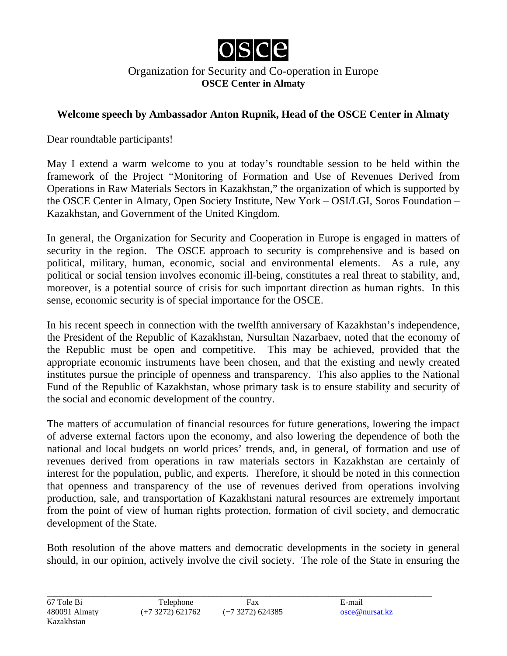

## Organization for Security and Co-operation in Europe **OSCE Center in Almaty**

## **Welcome speech by Ambassador Anton Rupnik, Head of the OSCE Center in Almaty**

Dear roundtable participants!

May I extend a warm welcome to you at today's roundtable session to be held within the framework of the Project "Monitoring of Formation and Use of Revenues Derived from Operations in Raw Materials Sectors in Kazakhstan," the organization of which is supported by the OSCE Center in Almaty, Open Society Institute, New York – OSI/LGI, Soros Foundation – Kazakhstan, and Government of the United Kingdom.

In general, the Organization for Security and Cooperation in Europe is engaged in matters of security in the region. The OSCE approach to security is comprehensive and is based on political, military, human, economic, social and environmental elements. As a rule, any political or social tension involves economic ill-being, constitutes a real threat to stability, and, moreover, is a potential source of crisis for such important direction as human rights. In this sense, economic security is of special importance for the OSCE.

In his recent speech in connection with the twelfth anniversary of Kazakhstan's independence, the President of the Republic of Kazakhstan, Nursultan Nazarbaev, noted that the economy of the Republic must be open and competitive. This may be achieved, provided that the appropriate economic instruments have been chosen, and that the existing and newly created institutes pursue the principle of openness and transparency. This also applies to the National Fund of the Republic of Kazakhstan, whose primary task is to ensure stability and security of the social and economic development of the country.

The matters of accumulation of financial resources for future generations, lowering the impact of adverse external factors upon the economy, and also lowering the dependence of both the national and local budgets on world prices' trends, and, in general, of formation and use of revenues derived from operations in raw materials sectors in Kazakhstan are certainly of interest for the population, public, and experts. Therefore, it should be noted in this connection that openness and transparency of the use of revenues derived from operations involving production, sale, and transportation of Kazakhstani natural resources are extremely important from the point of view of human rights protection, formation of civil society, and democratic development of the State.

Both resolution of the above matters and democratic developments in the society in general should, in our opinion, actively involve the civil society. The role of the State in ensuring the